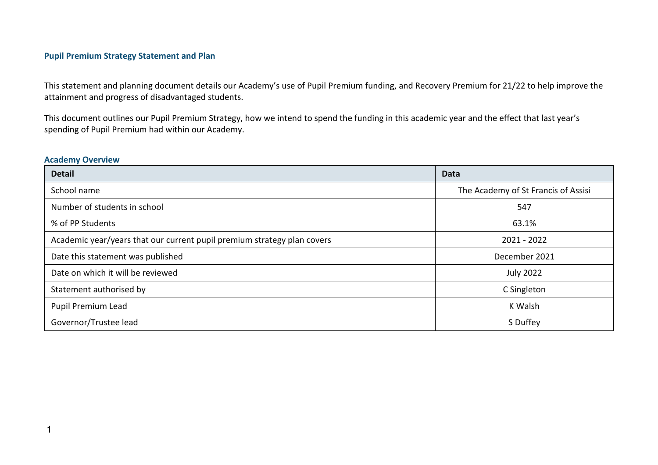#### **Pupil Premium Strategy Statement and Plan**

This statement and planning document details our Academy's use of Pupil Premium funding, and Recovery Premium for 21/22 to help improve the attainment and progress of disadvantaged students.

This document outlines our Pupil Premium Strategy, how we intend to spend the funding in this academic year and the effect that last year's spending of Pupil Premium had within our Academy.

#### **Academy Overview**

| <b>Detail</b>                                                           | <b>Data</b>                         |
|-------------------------------------------------------------------------|-------------------------------------|
| School name                                                             | The Academy of St Francis of Assisi |
| Number of students in school                                            | 547                                 |
| % of PP Students                                                        | 63.1%                               |
| Academic year/years that our current pupil premium strategy plan covers | 2021 - 2022                         |
| Date this statement was published                                       | December 2021                       |
| Date on which it will be reviewed                                       | <b>July 2022</b>                    |
| Statement authorised by                                                 | C Singleton                         |
| Pupil Premium Lead                                                      | K Walsh                             |
| Governor/Trustee lead                                                   | S Duffey                            |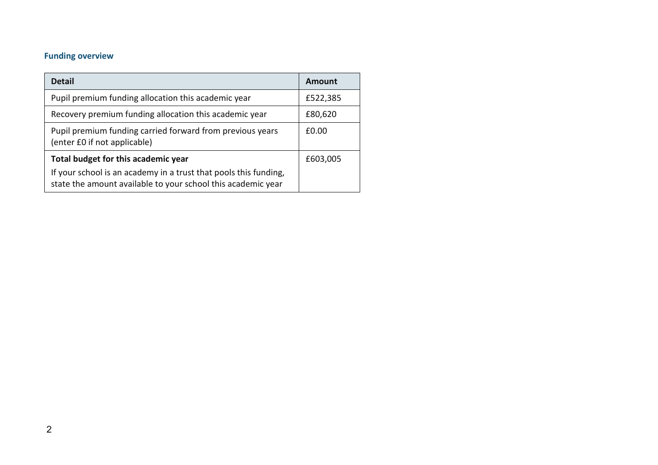# **Funding overview**

| <b>Detail</b>                                                                                                                    | Amount   |
|----------------------------------------------------------------------------------------------------------------------------------|----------|
| Pupil premium funding allocation this academic year                                                                              | £522,385 |
| Recovery premium funding allocation this academic year                                                                           | £80,620  |
| Pupil premium funding carried forward from previous years<br>(enter £0 if not applicable)                                        | £0.00    |
| Total budget for this academic year                                                                                              | £603,005 |
| If your school is an academy in a trust that pools this funding,<br>state the amount available to your school this academic year |          |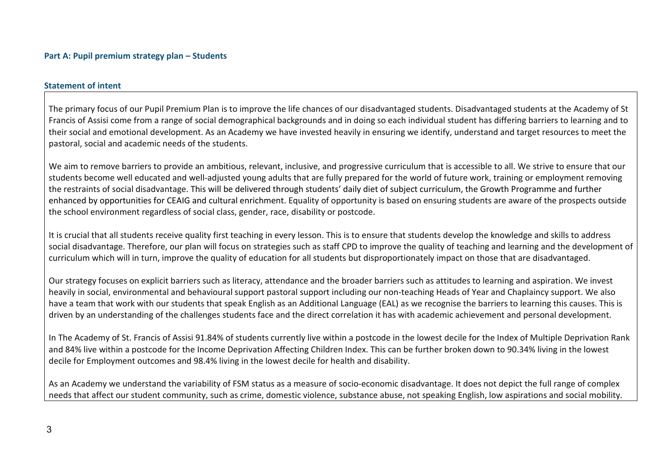#### **Statement of intent**

The primary focus of our Pupil Premium Plan is to improve the life chances of our disadvantaged students. Disadvantaged students at the Academy of St Francis of Assisi come from a range of social demographical backgrounds and in doing so each individual student has differing barriers to learning and to their social and emotional development. As an Academy we have invested heavily in ensuring we identify, understand and target resources to meet the pastoral, social and academic needs of the students.

We aim to remove barriers to provide an ambitious, relevant, inclusive, and progressive curriculum that is accessible to all. We strive to ensure that our students become well educated and well-adjusted young adults that are fully prepared for the world of future work, training or employment removing the restraints of social disadvantage. This will be delivered through students' daily diet of subject curriculum, the Growth Programme and further enhanced by opportunities for CEAIG and cultural enrichment. Equality of opportunity is based on ensuring students are aware of the prospects outside the school environment regardless of social class, gender, race, disability or postcode.

It is crucial that all students receive quality first teaching in every lesson. This is to ensure that students develop the knowledge and skills to address social disadvantage. Therefore, our plan will focus on strategies such as staff CPD to improve the quality of teaching and learning and the development of curriculum which will in turn, improve the quality of education for all students but disproportionately impact on those that are disadvantaged.

Our strategy focuses on explicit barriers such as literacy, attendance and the broader barriers such as attitudes to learning and aspiration. We invest heavily in social, environmental and behavioural support pastoral support including our non-teaching Heads of Year and Chaplaincy support. We also have a team that work with our students that speak English as an Additional Language (EAL) as we recognise the barriers to learning this causes. This is driven by an understanding of the challenges students face and the direct correlation it has with academic achievement and personal development.

In The Academy of St. Francis of Assisi 91.84% of students currently live within a postcode in the lowest decile for the Index of Multiple Deprivation Rank and 84% live within a postcode for the Income Deprivation Affecting Children Index. This can be further broken down to 90.34% living in the lowest decile for Employment outcomes and 98.4% living in the lowest decile for health and disability.

As an Academy we understand the variability of FSM status as a measure of socio-economic disadvantage. It does not depict the full range of complex needs that affect our student community, such as crime, domestic violence, substance abuse, not speaking English, low aspirations and social mobility.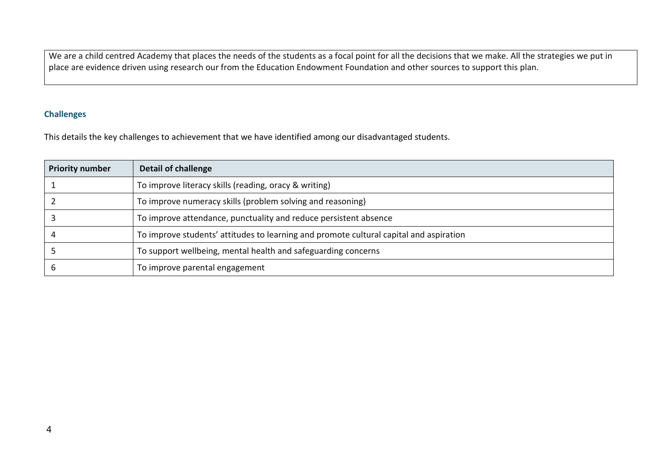We are a child centred Academy that places the needs of the students as a focal point for all the decisions that we make. All the strategies we put in place are evidence driven using research our from the Education Endowment Foundation and other sources to support this plan.

### **Challenges**

This details the key challenges to achievement that we have identified among our disadvantaged students.

| <b>Priority number</b> | <b>Detail of challenge</b>                                                             |
|------------------------|----------------------------------------------------------------------------------------|
|                        | To improve literacy skills (reading, oracy & writing)                                  |
|                        | To improve numeracy skills (problem solving and reasoning)                             |
|                        | To improve attendance, punctuality and reduce persistent absence                       |
|                        | To improve students' attitudes to learning and promote cultural capital and aspiration |
|                        | To support wellbeing, mental health and safeguarding concerns                          |
|                        | To improve parental engagement                                                         |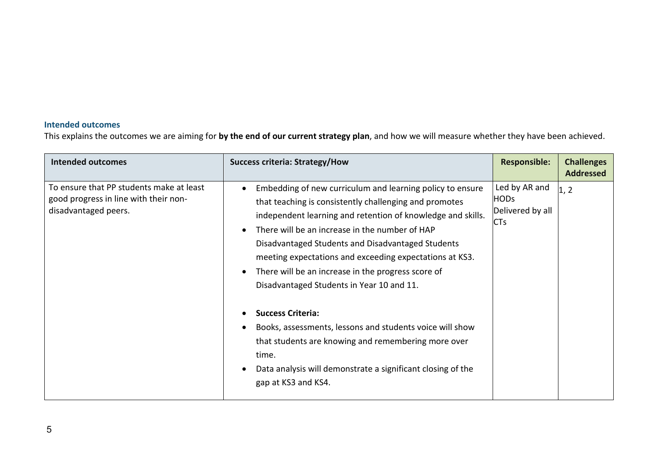## **Intended outcomes**

This explains the outcomes we are aiming for **by the end of our current strategy plan**, and how we will measure whether they have been achieved.

| <b>Intended outcomes</b>                                                                                  | <b>Success criteria: Strategy/How</b>                                                                                                                                                                                                                                                                                                                                                                                                                                                                                                                                                                                                                                                       | <b>Responsible:</b>                                     | <b>Challenges</b><br><b>Addressed</b> |
|-----------------------------------------------------------------------------------------------------------|---------------------------------------------------------------------------------------------------------------------------------------------------------------------------------------------------------------------------------------------------------------------------------------------------------------------------------------------------------------------------------------------------------------------------------------------------------------------------------------------------------------------------------------------------------------------------------------------------------------------------------------------------------------------------------------------|---------------------------------------------------------|---------------------------------------|
| To ensure that PP students make at least<br>good progress in line with their non-<br>disadvantaged peers. | Embedding of new curriculum and learning policy to ensure<br>$\bullet$<br>that teaching is consistently challenging and promotes<br>independent learning and retention of knowledge and skills.<br>There will be an increase in the number of HAP<br>Disadvantaged Students and Disadvantaged Students<br>meeting expectations and exceeding expectations at KS3.<br>There will be an increase in the progress score of<br>Disadvantaged Students in Year 10 and 11.<br><b>Success Criteria:</b><br>Books, assessments, lessons and students voice will show<br>that students are knowing and remembering more over<br>time.<br>Data analysis will demonstrate a significant closing of the | Led by AR and<br><b>HODs</b><br>Delivered by all<br>CTs | 1, 2                                  |
|                                                                                                           | gap at KS3 and KS4.                                                                                                                                                                                                                                                                                                                                                                                                                                                                                                                                                                                                                                                                         |                                                         |                                       |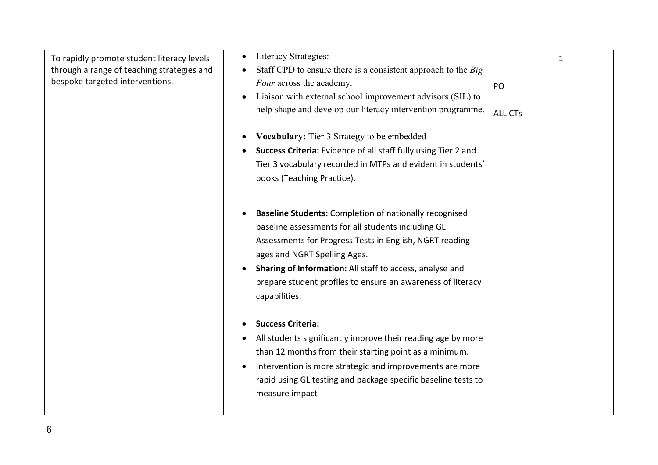| To rapidly promote student literacy levels<br>through a range of teaching strategies and<br>bespoke targeted interventions. | Literacy Strategies:<br>$\bullet$<br>Staff CPD to ensure there is a consistent approach to the Big<br>Four across the academy.<br>Liaison with external school improvement advisors (SIL) to<br>$\bullet$<br>help shape and develop our literacy intervention programme.<br>Vocabulary: Tier 3 Strategy to be embedded<br>Success Criteria: Evidence of all staff fully using Tier 2 and<br>Tier 3 vocabulary recorded in MTPs and evident in students'<br>books (Teaching Practice). | PO<br><b>ALL CTs</b> |  |
|-----------------------------------------------------------------------------------------------------------------------------|---------------------------------------------------------------------------------------------------------------------------------------------------------------------------------------------------------------------------------------------------------------------------------------------------------------------------------------------------------------------------------------------------------------------------------------------------------------------------------------|----------------------|--|
|                                                                                                                             | <b>Baseline Students:</b> Completion of nationally recognised<br>baseline assessments for all students including GL<br>Assessments for Progress Tests in English, NGRT reading<br>ages and NGRT Spelling Ages.<br>Sharing of Information: All staff to access, analyse and<br>prepare student profiles to ensure an awareness of literacy<br>capabilities.                                                                                                                            |                      |  |
|                                                                                                                             | <b>Success Criteria:</b><br>All students significantly improve their reading age by more<br>than 12 months from their starting point as a minimum.<br>Intervention is more strategic and improvements are more<br>$\bullet$<br>rapid using GL testing and package specific baseline tests to<br>measure impact                                                                                                                                                                        |                      |  |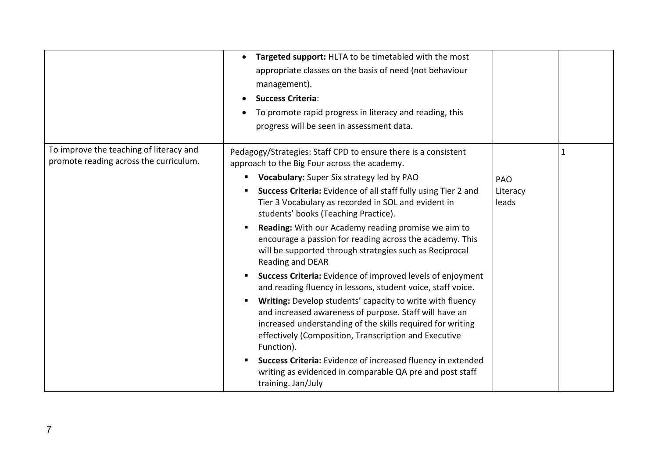|                                                                                   | Targeted support: HLTA to be timetabled with the most<br>appropriate classes on the basis of need (not behaviour<br>management).<br><b>Success Criteria:</b><br>To promote rapid progress in literacy and reading, this<br>progress will be seen in assessment data.                                                                                                                                                                                                                                                                                                                                                                                                                                                                                                                                                                                                                                                                                                                                                                                                                              |                                 |  |
|-----------------------------------------------------------------------------------|---------------------------------------------------------------------------------------------------------------------------------------------------------------------------------------------------------------------------------------------------------------------------------------------------------------------------------------------------------------------------------------------------------------------------------------------------------------------------------------------------------------------------------------------------------------------------------------------------------------------------------------------------------------------------------------------------------------------------------------------------------------------------------------------------------------------------------------------------------------------------------------------------------------------------------------------------------------------------------------------------------------------------------------------------------------------------------------------------|---------------------------------|--|
| To improve the teaching of literacy and<br>promote reading across the curriculum. | Pedagogy/Strategies: Staff CPD to ensure there is a consistent<br>approach to the Big Four across the academy.<br>Vocabulary: Super Six strategy led by PAO<br>ш<br>Success Criteria: Evidence of all staff fully using Tier 2 and<br>п<br>Tier 3 Vocabulary as recorded in SOL and evident in<br>students' books (Teaching Practice).<br>Reading: With our Academy reading promise we aim to<br>п<br>encourage a passion for reading across the academy. This<br>will be supported through strategies such as Reciprocal<br>Reading and DEAR<br>Success Criteria: Evidence of improved levels of enjoyment<br>п<br>and reading fluency in lessons, student voice, staff voice.<br>Writing: Develop students' capacity to write with fluency<br>п<br>and increased awareness of purpose. Staff will have an<br>increased understanding of the skills required for writing<br>effectively (Composition, Transcription and Executive<br>Function).<br>Success Criteria: Evidence of increased fluency in extended<br>writing as evidenced in comparable QA pre and post staff<br>training. Jan/July | <b>PAO</b><br>Literacy<br>leads |  |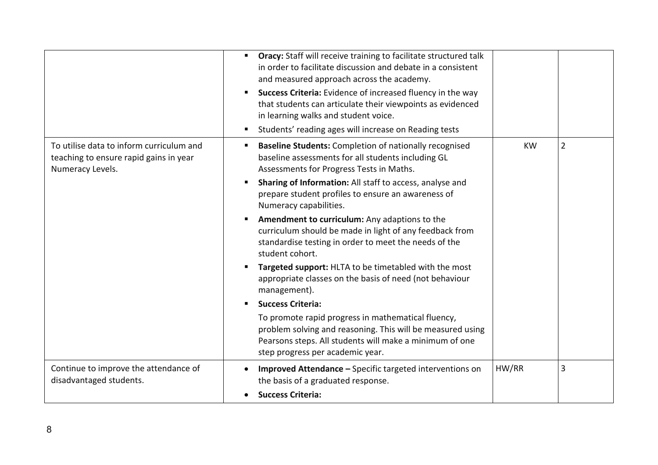|                                                                                                        | <b>Oracy:</b> Staff will receive training to facilitate structured talk<br>п<br>in order to facilitate discussion and debate in a consistent<br>and measured approach across the academy.<br>Success Criteria: Evidence of increased fluency in the way<br>п<br>that students can articulate their viewpoints as evidenced<br>in learning walks and student voice.<br>Students' reading ages will increase on Reading tests<br>п                                                                                                                                                                                                                                                                                                                                                                                                                                                                           |           |   |
|--------------------------------------------------------------------------------------------------------|------------------------------------------------------------------------------------------------------------------------------------------------------------------------------------------------------------------------------------------------------------------------------------------------------------------------------------------------------------------------------------------------------------------------------------------------------------------------------------------------------------------------------------------------------------------------------------------------------------------------------------------------------------------------------------------------------------------------------------------------------------------------------------------------------------------------------------------------------------------------------------------------------------|-----------|---|
| To utilise data to inform curriculum and<br>teaching to ensure rapid gains in year<br>Numeracy Levels. | <b>Baseline Students:</b> Completion of nationally recognised<br>п<br>baseline assessments for all students including GL<br>Assessments for Progress Tests in Maths.<br>Sharing of Information: All staff to access, analyse and<br>prepare student profiles to ensure an awareness of<br>Numeracy capabilities.<br>Amendment to curriculum: Any adaptions to the<br>п<br>curriculum should be made in light of any feedback from<br>standardise testing in order to meet the needs of the<br>student cohort.<br>Targeted support: HLTA to be timetabled with the most<br>п<br>appropriate classes on the basis of need (not behaviour<br>management).<br><b>Success Criteria:</b><br>٠<br>To promote rapid progress in mathematical fluency,<br>problem solving and reasoning. This will be measured using<br>Pearsons steps. All students will make a minimum of one<br>step progress per academic year. | <b>KW</b> | 2 |
| Continue to improve the attendance of<br>disadvantaged students.                                       | Improved Attendance - Specific targeted interventions on<br>the basis of a graduated response.<br><b>Success Criteria:</b>                                                                                                                                                                                                                                                                                                                                                                                                                                                                                                                                                                                                                                                                                                                                                                                 | HW/RR     | 3 |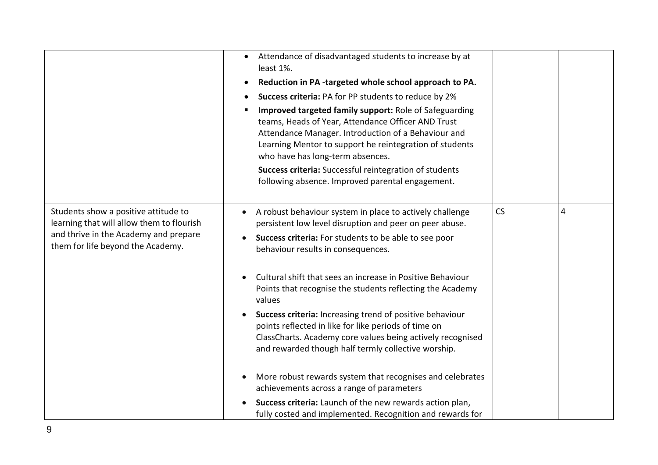|                                                                                                                                                                 | Attendance of disadvantaged students to increase by at<br>$\bullet$<br>least 1%.<br>Reduction in PA-targeted whole school approach to PA.<br>٠<br>Success criteria: PA for PP students to reduce by 2%<br>Improved targeted family support: Role of Safeguarding<br>п<br>teams, Heads of Year, Attendance Officer AND Trust<br>Attendance Manager. Introduction of a Behaviour and<br>Learning Mentor to support he reintegration of students<br>who have has long-term absences.<br>Success criteria: Successful reintegration of students<br>following absence. Improved parental engagement.                                                               |    |   |
|-----------------------------------------------------------------------------------------------------------------------------------------------------------------|---------------------------------------------------------------------------------------------------------------------------------------------------------------------------------------------------------------------------------------------------------------------------------------------------------------------------------------------------------------------------------------------------------------------------------------------------------------------------------------------------------------------------------------------------------------------------------------------------------------------------------------------------------------|----|---|
| Students show a positive attitude to<br>learning that will allow them to flourish<br>and thrive in the Academy and prepare<br>them for life beyond the Academy. | A robust behaviour system in place to actively challenge<br>persistent low level disruption and peer on peer abuse.<br>Success criteria: For students to be able to see poor<br>behaviour results in consequences.<br>Cultural shift that sees an increase in Positive Behaviour<br>Points that recognise the students reflecting the Academy<br>values<br>Success criteria: Increasing trend of positive behaviour<br>points reflected in like for like periods of time on<br>ClassCharts. Academy core values being actively recognised<br>and rewarded though half termly collective worship.<br>More robust rewards system that recognises and celebrates | CS | 4 |
|                                                                                                                                                                 | achievements across a range of parameters<br>Success criteria: Launch of the new rewards action plan,<br>fully costed and implemented. Recognition and rewards for                                                                                                                                                                                                                                                                                                                                                                                                                                                                                            |    |   |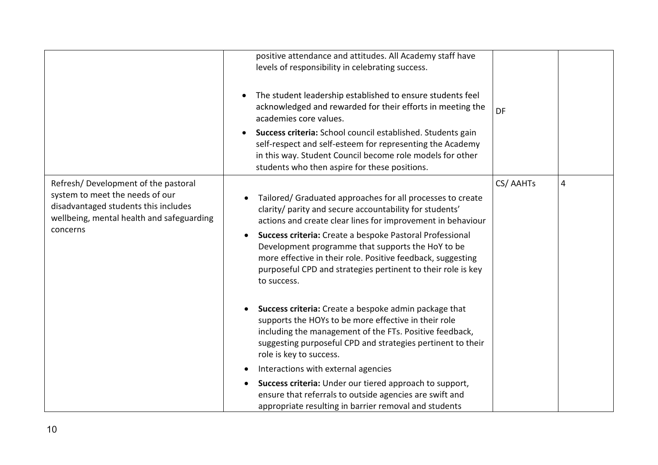|                                                                                                                                                                         | positive attendance and attitudes. All Academy staff have<br>levels of responsibility in celebrating success.<br>The student leadership established to ensure students feel<br>acknowledged and rewarded for their efforts in meeting the<br>academies core values.<br>Success criteria: School council established. Students gain<br>self-respect and self-esteem for representing the Academy<br>in this way. Student Council become role models for other<br>students who then aspire for these positions.                                                                                                                                | DF       |   |
|-------------------------------------------------------------------------------------------------------------------------------------------------------------------------|----------------------------------------------------------------------------------------------------------------------------------------------------------------------------------------------------------------------------------------------------------------------------------------------------------------------------------------------------------------------------------------------------------------------------------------------------------------------------------------------------------------------------------------------------------------------------------------------------------------------------------------------|----------|---|
| Refresh/Development of the pastoral<br>system to meet the needs of our<br>disadvantaged students this includes<br>wellbeing, mental health and safeguarding<br>concerns | Tailored/ Graduated approaches for all processes to create<br>clarity/ parity and secure accountability for students'<br>actions and create clear lines for improvement in behaviour<br>Success criteria: Create a bespoke Pastoral Professional<br>$\bullet$<br>Development programme that supports the HoY to be<br>more effective in their role. Positive feedback, suggesting<br>purposeful CPD and strategies pertinent to their role is key<br>to success.<br>Success criteria: Create a bespoke admin package that<br>supports the HOYs to be more effective in their role<br>including the management of the FTs. Positive feedback, | CS/AAHTs | 4 |
|                                                                                                                                                                         | suggesting purposeful CPD and strategies pertinent to their<br>role is key to success.<br>Interactions with external agencies<br>Success criteria: Under our tiered approach to support,<br>ensure that referrals to outside agencies are swift and<br>appropriate resulting in barrier removal and students                                                                                                                                                                                                                                                                                                                                 |          |   |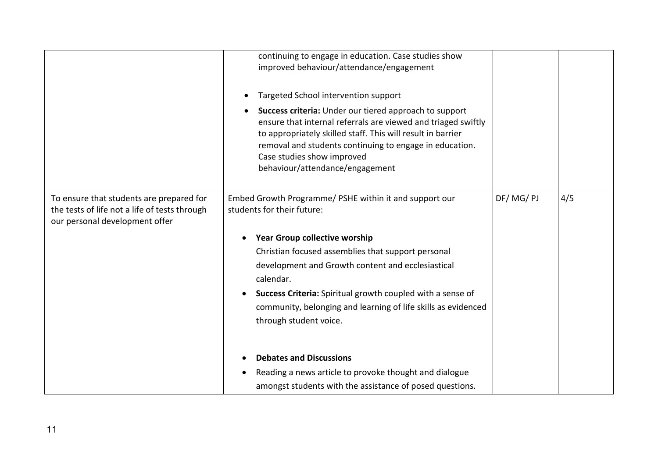|                                                                                                                             | continuing to engage in education. Case studies show<br>improved behaviour/attendance/engagement<br>Targeted School intervention support<br>Success criteria: Under our tiered approach to support<br>ensure that internal referrals are viewed and triaged swiftly<br>to appropriately skilled staff. This will result in barrier<br>removal and students continuing to engage in education.<br>Case studies show improved<br>behaviour/attendance/engagement |          |     |
|-----------------------------------------------------------------------------------------------------------------------------|----------------------------------------------------------------------------------------------------------------------------------------------------------------------------------------------------------------------------------------------------------------------------------------------------------------------------------------------------------------------------------------------------------------------------------------------------------------|----------|-----|
| To ensure that students are prepared for<br>the tests of life not a life of tests through<br>our personal development offer | Embed Growth Programme/ PSHE within it and support our<br>students for their future:<br><b>Year Group collective worship</b><br>Christian focused assemblies that support personal<br>development and Growth content and ecclesiastical<br>calendar.<br>Success Criteria: Spiritual growth coupled with a sense of<br>community, belonging and learning of life skills as evidenced<br>through student voice.                                                  | DF/MG/PJ | 4/5 |
|                                                                                                                             | <b>Debates and Discussions</b><br>Reading a news article to provoke thought and dialogue<br>amongst students with the assistance of posed questions.                                                                                                                                                                                                                                                                                                           |          |     |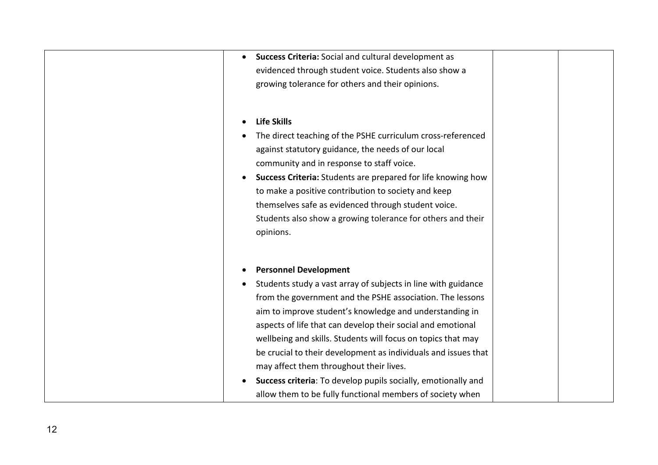| Success Criteria: Social and cultural development as<br>$\bullet$         |
|---------------------------------------------------------------------------|
| evidenced through student voice. Students also show a                     |
| growing tolerance for others and their opinions.                          |
|                                                                           |
|                                                                           |
| <b>Life Skills</b>                                                        |
| The direct teaching of the PSHE curriculum cross-referenced               |
| against statutory guidance, the needs of our local                        |
| community and in response to staff voice.                                 |
| Success Criteria: Students are prepared for life knowing how<br>$\bullet$ |
| to make a positive contribution to society and keep                       |
| themselves safe as evidenced through student voice.                       |
| Students also show a growing tolerance for others and their               |
| opinions.                                                                 |
|                                                                           |
|                                                                           |
| <b>Personnel Development</b>                                              |
| Students study a vast array of subjects in line with guidance             |
| from the government and the PSHE association. The lessons                 |
| aim to improve student's knowledge and understanding in                   |
| aspects of life that can develop their social and emotional               |
| wellbeing and skills. Students will focus on topics that may              |
| be crucial to their development as individuals and issues that            |
| may affect them throughout their lives.                                   |
| Success criteria: To develop pupils socially, emotionally and             |
|                                                                           |
| allow them to be fully functional members of society when                 |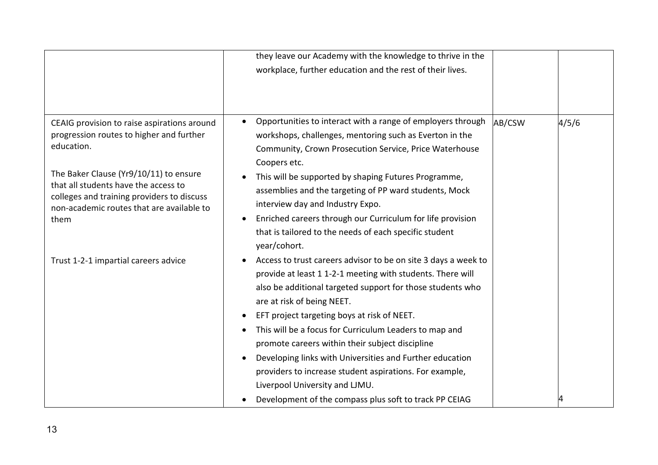|                                                                                                                                                                                                                                                                                            | they leave our Academy with the knowledge to thrive in the<br>workplace, further education and the rest of their lives.                                                                                                                                                                                                                                                                                                                                                                                                                                                                                 |        |       |
|--------------------------------------------------------------------------------------------------------------------------------------------------------------------------------------------------------------------------------------------------------------------------------------------|---------------------------------------------------------------------------------------------------------------------------------------------------------------------------------------------------------------------------------------------------------------------------------------------------------------------------------------------------------------------------------------------------------------------------------------------------------------------------------------------------------------------------------------------------------------------------------------------------------|--------|-------|
| CEAIG provision to raise aspirations around<br>progression routes to higher and further<br>education.<br>The Baker Clause (Yr9/10/11) to ensure<br>that all students have the access to<br>colleges and training providers to discuss<br>non-academic routes that are available to<br>them | Opportunities to interact with a range of employers through<br>workshops, challenges, mentoring such as Everton in the<br>Community, Crown Prosecution Service, Price Waterhouse<br>Coopers etc.<br>This will be supported by shaping Futures Programme,<br>assemblies and the targeting of PP ward students, Mock<br>interview day and Industry Expo.<br>Enriched careers through our Curriculum for life provision<br>that is tailored to the needs of each specific student<br>year/cohort.                                                                                                          | AB/CSW | 4/5/6 |
| Trust 1-2-1 impartial careers advice                                                                                                                                                                                                                                                       | Access to trust careers advisor to be on site 3 days a week to<br>provide at least 1 1-2-1 meeting with students. There will<br>also be additional targeted support for those students who<br>are at risk of being NEET.<br>EFT project targeting boys at risk of NEET.<br>This will be a focus for Curriculum Leaders to map and<br>promote careers within their subject discipline<br>Developing links with Universities and Further education<br>providers to increase student aspirations. For example,<br>Liverpool University and LJMU.<br>Development of the compass plus soft to track PP CEIAG |        |       |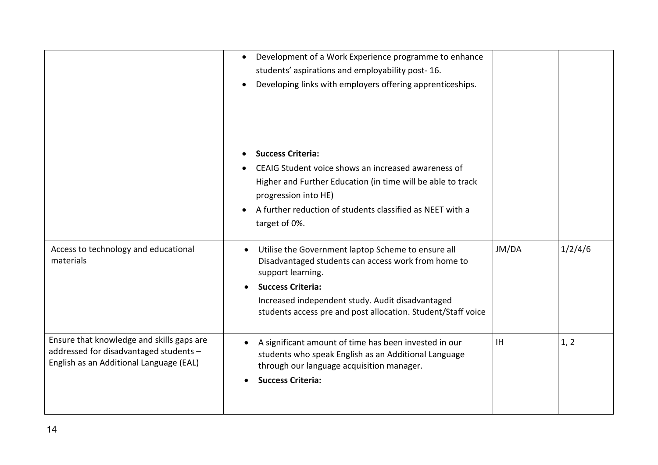|                                                                                                                                | Development of a Work Experience programme to enhance<br>students' aspirations and employability post-16.<br>Developing links with employers offering apprenticeships.                                                                                                                      |           |         |
|--------------------------------------------------------------------------------------------------------------------------------|---------------------------------------------------------------------------------------------------------------------------------------------------------------------------------------------------------------------------------------------------------------------------------------------|-----------|---------|
|                                                                                                                                | <b>Success Criteria:</b><br>CEAIG Student voice shows an increased awareness of<br>Higher and Further Education (in time will be able to track<br>progression into HE)<br>A further reduction of students classified as NEET with a<br>target of 0%.                                        |           |         |
| Access to technology and educational<br>materials                                                                              | Utilise the Government laptop Scheme to ensure all<br>$\bullet$<br>Disadvantaged students can access work from home to<br>support learning.<br><b>Success Criteria:</b><br>Increased independent study. Audit disadvantaged<br>students access pre and post allocation. Student/Staff voice | JM/DA     | 1/2/4/6 |
| Ensure that knowledge and skills gaps are<br>addressed for disadvantaged students -<br>English as an Additional Language (EAL) | A significant amount of time has been invested in our<br>$\bullet$<br>students who speak English as an Additional Language<br>through our language acquisition manager.<br><b>Success Criteria:</b>                                                                                         | <b>IH</b> | 1, 2    |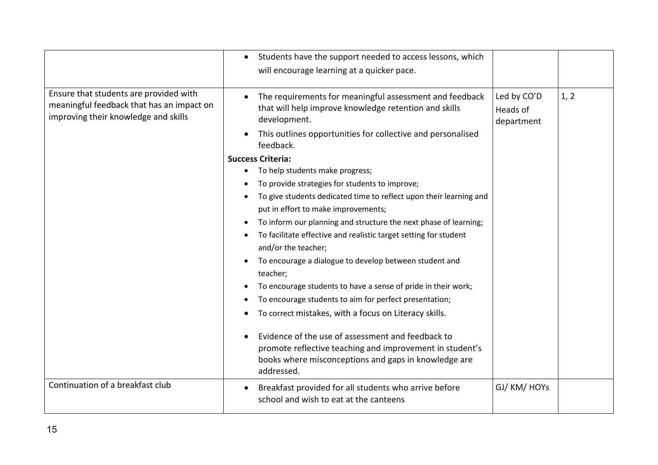|                                                                                                                             | Students have the support needed to access lessons, which<br>$\bullet$<br>will encourage learning at a quicker pace.                                                                                                                                                                                                                                                                                                                                                                                                                                                                                                                                                                                                                                                                                                                                                                                                                                                                                                                                       |                                       |      |
|-----------------------------------------------------------------------------------------------------------------------------|------------------------------------------------------------------------------------------------------------------------------------------------------------------------------------------------------------------------------------------------------------------------------------------------------------------------------------------------------------------------------------------------------------------------------------------------------------------------------------------------------------------------------------------------------------------------------------------------------------------------------------------------------------------------------------------------------------------------------------------------------------------------------------------------------------------------------------------------------------------------------------------------------------------------------------------------------------------------------------------------------------------------------------------------------------|---------------------------------------|------|
| Ensure that students are provided with<br>meaningful feedback that has an impact on<br>improving their knowledge and skills | The requirements for meaningful assessment and feedback<br>that will help improve knowledge retention and skills<br>development.<br>This outlines opportunities for collective and personalised<br>feedback.<br><b>Success Criteria:</b><br>To help students make progress;<br>To provide strategies for students to improve;<br>To give students dedicated time to reflect upon their learning and<br>put in effort to make improvements;<br>To inform our planning and structure the next phase of learning;<br>To facilitate effective and realistic target setting for student<br>and/or the teacher;<br>To encourage a dialogue to develop between student and<br>teacher;<br>To encourage students to have a sense of pride in their work;<br>To encourage students to aim for perfect presentation;<br>To correct mistakes, with a focus on Literacy skills.<br>Evidence of the use of assessment and feedback to<br>promote reflective teaching and improvement in student's<br>books where misconceptions and gaps in knowledge are<br>addressed. | Led by CO'D<br>Heads of<br>department | 1, 2 |
| Continuation of a breakfast club                                                                                            | Breakfast provided for all students who arrive before<br>school and wish to eat at the canteens                                                                                                                                                                                                                                                                                                                                                                                                                                                                                                                                                                                                                                                                                                                                                                                                                                                                                                                                                            | GJ/ KM/ HOYs                          |      |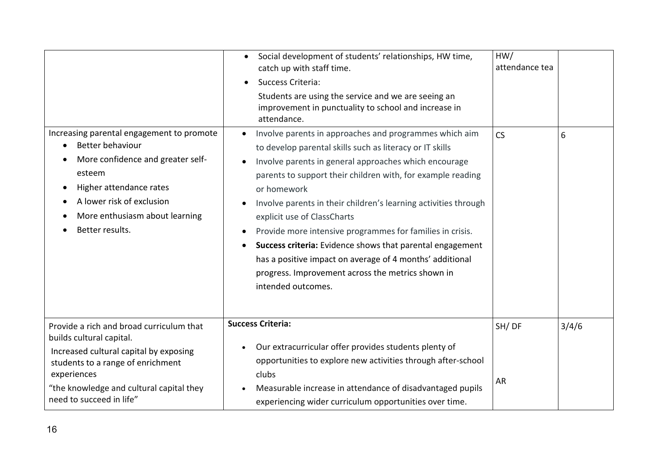|                                                                                                                                                                                                                                            | Social development of students' relationships, HW time,<br>$\bullet$<br>catch up with staff time.<br>Success Criteria:<br>$\bullet$<br>Students are using the service and we are seeing an<br>improvement in punctuality to school and increase in<br>attendance.                                                                                                                                                                                                                                                                                                                                                                                                   | HW/<br>attendance tea |       |
|--------------------------------------------------------------------------------------------------------------------------------------------------------------------------------------------------------------------------------------------|---------------------------------------------------------------------------------------------------------------------------------------------------------------------------------------------------------------------------------------------------------------------------------------------------------------------------------------------------------------------------------------------------------------------------------------------------------------------------------------------------------------------------------------------------------------------------------------------------------------------------------------------------------------------|-----------------------|-------|
| Increasing parental engagement to promote<br>Better behaviour<br>More confidence and greater self-<br>esteem<br>Higher attendance rates<br>$\bullet$<br>A lower risk of exclusion<br>More enthusiasm about learning<br>Better results.     | Involve parents in approaches and programmes which aim<br>$\bullet$<br>to develop parental skills such as literacy or IT skills<br>Involve parents in general approaches which encourage<br>parents to support their children with, for example reading<br>or homework<br>Involve parents in their children's learning activities through<br>explicit use of ClassCharts<br>Provide more intensive programmes for families in crisis.<br>$\bullet$<br>Success criteria: Evidence shows that parental engagement<br>$\bullet$<br>has a positive impact on average of 4 months' additional<br>progress. Improvement across the metrics shown in<br>intended outcomes. | <b>CS</b>             | 6     |
| Provide a rich and broad curriculum that<br>builds cultural capital.<br>Increased cultural capital by exposing<br>students to a range of enrichment<br>experiences<br>"the knowledge and cultural capital they<br>need to succeed in life" | <b>Success Criteria:</b><br>Our extracurricular offer provides students plenty of<br>opportunities to explore new activities through after-school<br>clubs<br>Measurable increase in attendance of disadvantaged pupils<br>experiencing wider curriculum opportunities over time.                                                                                                                                                                                                                                                                                                                                                                                   | SH/DF<br><b>AR</b>    | 3/4/6 |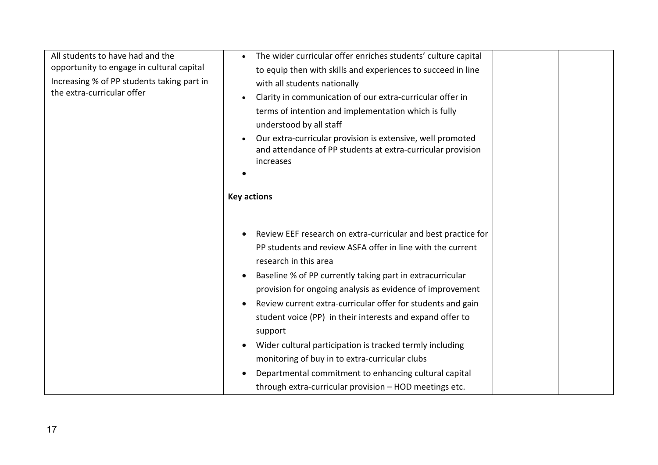| All students to have had and the<br>opportunity to engage in cultural capital<br>Increasing % of PP students taking part in<br>the extra-curricular offer | The wider curricular offer enriches students' culture capital<br>to equip then with skills and experiences to succeed in line<br>with all students nationally<br>Clarity in communication of our extra-curricular offer in<br>terms of intention and implementation which is fully<br>understood by all staff<br>Our extra-curricular provision is extensive, well promoted<br>and attendance of PP students at extra-curricular provision<br>increases<br><b>Key actions</b>                                                                                                                                                                          |
|-----------------------------------------------------------------------------------------------------------------------------------------------------------|--------------------------------------------------------------------------------------------------------------------------------------------------------------------------------------------------------------------------------------------------------------------------------------------------------------------------------------------------------------------------------------------------------------------------------------------------------------------------------------------------------------------------------------------------------------------------------------------------------------------------------------------------------|
|                                                                                                                                                           | Review EEF research on extra-curricular and best practice for<br>PP students and review ASFA offer in line with the current<br>research in this area<br>Baseline % of PP currently taking part in extracurricular<br>provision for ongoing analysis as evidence of improvement<br>Review current extra-curricular offer for students and gain<br>student voice (PP) in their interests and expand offer to<br>support<br>Wider cultural participation is tracked termly including<br>monitoring of buy in to extra-curricular clubs<br>Departmental commitment to enhancing cultural capital<br>through extra-curricular provision - HOD meetings etc. |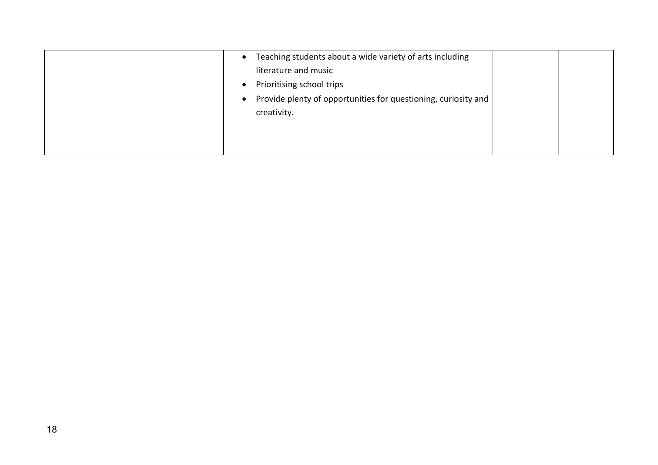| Teaching students about a wide variety of arts including<br>$\bullet$ |  |
|-----------------------------------------------------------------------|--|
| literature and music                                                  |  |
| Prioritising school trips                                             |  |
| Provide plenty of opportunities for questioning, curiosity and        |  |
| creativity.                                                           |  |
|                                                                       |  |
|                                                                       |  |
|                                                                       |  |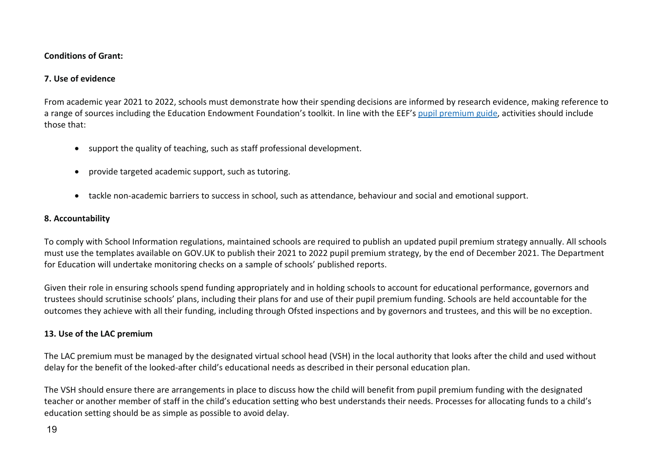#### **Conditions of Grant:**

## **7. Use of evidence**

From academic year 2021 to 2022, schools must demonstrate how their spending decisions are informed by research evidence, making reference to a range of sources including the Education Endowment Foundation's toolkit. In line with the EEF's [pupil premium guide,](https://educationendowmentfoundation.org.uk/evidence-summaries/pupil-premium-guide/) activities should include those that:

- support the quality of teaching, such as staff professional development.
- provide targeted academic support, such as tutoring.
- tackle non-academic barriers to success in school, such as attendance, behaviour and social and emotional support.

# **8. Accountability**

To comply with School Information regulations, maintained schools are required to publish an updated pupil premium strategy annually. All schools must use the templates available on GOV.UK to publish their 2021 to 2022 pupil premium strategy, by the end of December 2021. The Department for Education will undertake monitoring checks on a sample of schools' published reports.

Given their role in ensuring schools spend funding appropriately and in holding schools to account for educational performance, governors and trustees should scrutinise schools' plans, including their plans for and use of their pupil premium funding. Schools are held accountable for the outcomes they achieve with all their funding, including through Ofsted inspections and by governors and trustees, and this will be no exception.

# **13. Use of the LAC premium**

The LAC premium must be managed by the designated virtual school head (VSH) in the local authority that looks after the child and used without delay for the benefit of the looked-after child's educational needs as described in their personal education plan.

The VSH should ensure there are arrangements in place to discuss how the child will benefit from pupil premium funding with the designated teacher or another member of staff in the child's education setting who best understands their needs. Processes for allocating funds to a child's education setting should be as simple as possible to avoid delay.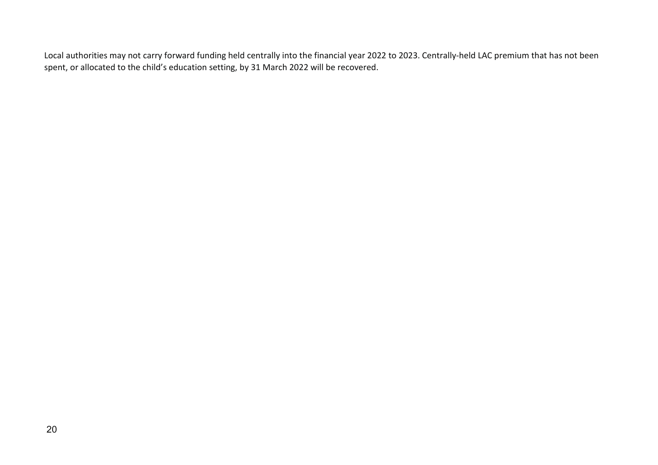Local authorities may not carry forward funding held centrally into the financial year 2022 to 2023. Centrally-held LAC premium that has not been spent, or allocated to the child's education setting, by 31 March 2022 will be recovered.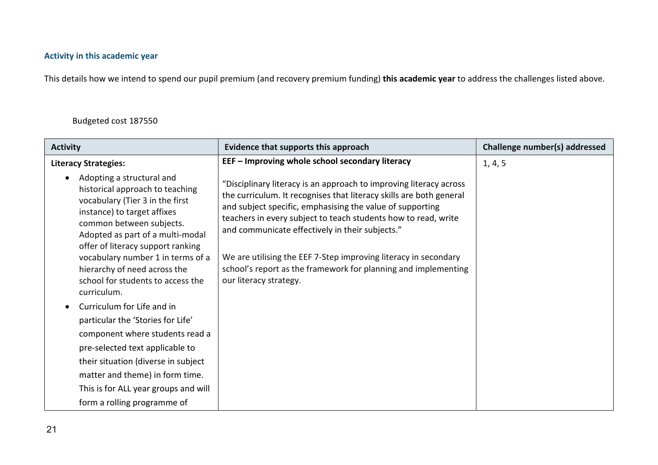# **Activity in this academic year**

This details how we intend to spend our pupil premium (and recovery premium funding) **this academic year** to address the challenges listed above.

# Budgeted cost 187550

| <b>Activity</b>                                                                                                                                                                                                                                                                                                                                              | Evidence that supports this approach                                                                                                                                                                                                                                                                                                                                                                                                                                                       | Challenge number(s) addressed |
|--------------------------------------------------------------------------------------------------------------------------------------------------------------------------------------------------------------------------------------------------------------------------------------------------------------------------------------------------------------|--------------------------------------------------------------------------------------------------------------------------------------------------------------------------------------------------------------------------------------------------------------------------------------------------------------------------------------------------------------------------------------------------------------------------------------------------------------------------------------------|-------------------------------|
| <b>Literacy Strategies:</b>                                                                                                                                                                                                                                                                                                                                  | EEF - Improving whole school secondary literacy                                                                                                                                                                                                                                                                                                                                                                                                                                            | 1, 4, 5                       |
| Adopting a structural and<br>historical approach to teaching<br>vocabulary (Tier 3 in the first<br>instance) to target affixes<br>common between subjects.<br>Adopted as part of a multi-modal<br>offer of literacy support ranking<br>vocabulary number 1 in terms of a<br>hierarchy of need across the<br>school for students to access the<br>curriculum. | "Disciplinary literacy is an approach to improving literacy across<br>the curriculum. It recognises that literacy skills are both general<br>and subject specific, emphasising the value of supporting<br>teachers in every subject to teach students how to read, write<br>and communicate effectively in their subjects."<br>We are utilising the EEF 7-Step improving literacy in secondary<br>school's report as the framework for planning and implementing<br>our literacy strategy. |                               |
| Curriculum for Life and in                                                                                                                                                                                                                                                                                                                                   |                                                                                                                                                                                                                                                                                                                                                                                                                                                                                            |                               |
| particular the 'Stories for Life'                                                                                                                                                                                                                                                                                                                            |                                                                                                                                                                                                                                                                                                                                                                                                                                                                                            |                               |
| component where students read a                                                                                                                                                                                                                                                                                                                              |                                                                                                                                                                                                                                                                                                                                                                                                                                                                                            |                               |
| pre-selected text applicable to                                                                                                                                                                                                                                                                                                                              |                                                                                                                                                                                                                                                                                                                                                                                                                                                                                            |                               |
| their situation (diverse in subject                                                                                                                                                                                                                                                                                                                          |                                                                                                                                                                                                                                                                                                                                                                                                                                                                                            |                               |
| matter and theme) in form time.                                                                                                                                                                                                                                                                                                                              |                                                                                                                                                                                                                                                                                                                                                                                                                                                                                            |                               |
| This is for ALL year groups and will                                                                                                                                                                                                                                                                                                                         |                                                                                                                                                                                                                                                                                                                                                                                                                                                                                            |                               |
| form a rolling programme of                                                                                                                                                                                                                                                                                                                                  |                                                                                                                                                                                                                                                                                                                                                                                                                                                                                            |                               |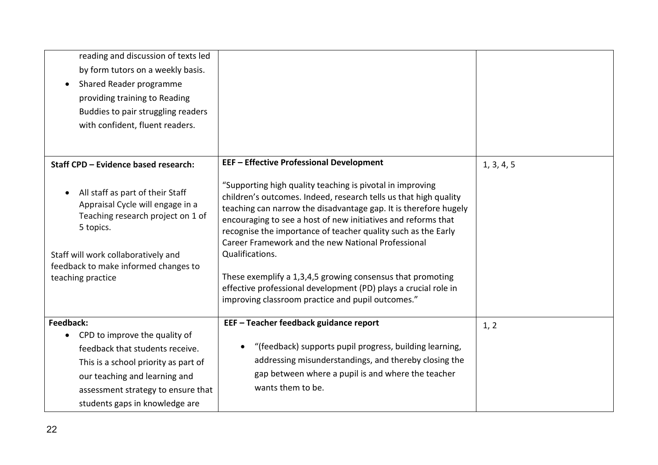| reading and discussion of texts led<br>by form tutors on a weekly basis.<br>Shared Reader programme<br>providing training to Reading<br>Buddies to pair struggling readers<br>with confident, fluent readers.              |                                                                                                                                                                                                                                                                                                                                                                                                                                                                                                                                                                                                    |            |
|----------------------------------------------------------------------------------------------------------------------------------------------------------------------------------------------------------------------------|----------------------------------------------------------------------------------------------------------------------------------------------------------------------------------------------------------------------------------------------------------------------------------------------------------------------------------------------------------------------------------------------------------------------------------------------------------------------------------------------------------------------------------------------------------------------------------------------------|------------|
| Staff CPD - Evidence based research:                                                                                                                                                                                       | <b>EEF - Effective Professional Development</b>                                                                                                                                                                                                                                                                                                                                                                                                                                                                                                                                                    | 1, 3, 4, 5 |
| All staff as part of their Staff<br>Appraisal Cycle will engage in a<br>Teaching research project on 1 of<br>5 topics.<br>Staff will work collaboratively and<br>feedback to make informed changes to<br>teaching practice | "Supporting high quality teaching is pivotal in improving<br>children's outcomes. Indeed, research tells us that high quality<br>teaching can narrow the disadvantage gap. It is therefore hugely<br>encouraging to see a host of new initiatives and reforms that<br>recognise the importance of teacher quality such as the Early<br>Career Framework and the new National Professional<br>Qualifications.<br>These exemplify a 1,3,4,5 growing consensus that promoting<br>effective professional development (PD) plays a crucial role in<br>improving classroom practice and pupil outcomes." |            |
| Feedback:                                                                                                                                                                                                                  | EEF - Teacher feedback guidance report                                                                                                                                                                                                                                                                                                                                                                                                                                                                                                                                                             | 1, 2       |
| CPD to improve the quality of<br>$\bullet$<br>feedback that students receive.                                                                                                                                              | "(feedback) supports pupil progress, building learning,                                                                                                                                                                                                                                                                                                                                                                                                                                                                                                                                            |            |
| This is a school priority as part of                                                                                                                                                                                       | addressing misunderstandings, and thereby closing the                                                                                                                                                                                                                                                                                                                                                                                                                                                                                                                                              |            |
| our teaching and learning and                                                                                                                                                                                              | gap between where a pupil is and where the teacher                                                                                                                                                                                                                                                                                                                                                                                                                                                                                                                                                 |            |
| assessment strategy to ensure that                                                                                                                                                                                         | wants them to be.                                                                                                                                                                                                                                                                                                                                                                                                                                                                                                                                                                                  |            |
| students gaps in knowledge are                                                                                                                                                                                             |                                                                                                                                                                                                                                                                                                                                                                                                                                                                                                                                                                                                    |            |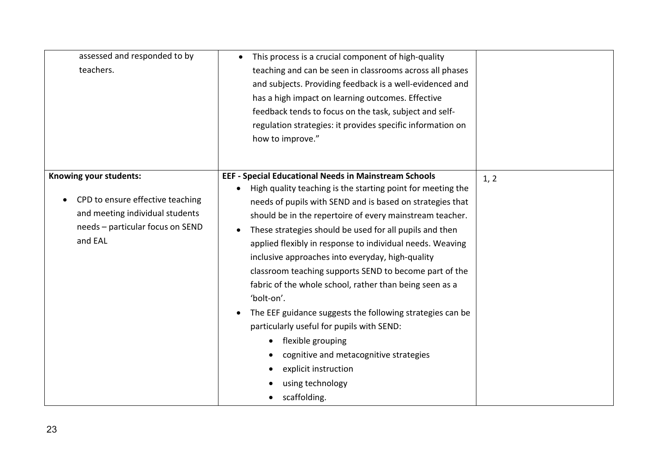| assessed and responded to by<br>teachers.                                                                                                    | This process is a crucial component of high-quality<br>$\bullet$<br>teaching and can be seen in classrooms across all phases<br>and subjects. Providing feedback is a well-evidenced and<br>has a high impact on learning outcomes. Effective<br>feedback tends to focus on the task, subject and self-<br>regulation strategies: it provides specific information on<br>how to improve."                                                                                                                                                                                                                                                                                                                                                                                                                |      |
|----------------------------------------------------------------------------------------------------------------------------------------------|----------------------------------------------------------------------------------------------------------------------------------------------------------------------------------------------------------------------------------------------------------------------------------------------------------------------------------------------------------------------------------------------------------------------------------------------------------------------------------------------------------------------------------------------------------------------------------------------------------------------------------------------------------------------------------------------------------------------------------------------------------------------------------------------------------|------|
| Knowing your students:<br>CPD to ensure effective teaching<br>and meeting individual students<br>needs - particular focus on SEND<br>and EAL | <b>EEF - Special Educational Needs in Mainstream Schools</b><br>High quality teaching is the starting point for meeting the<br>needs of pupils with SEND and is based on strategies that<br>should be in the repertoire of every mainstream teacher.<br>These strategies should be used for all pupils and then<br>applied flexibly in response to individual needs. Weaving<br>inclusive approaches into everyday, high-quality<br>classroom teaching supports SEND to become part of the<br>fabric of the whole school, rather than being seen as a<br>'bolt-on'.<br>The EEF guidance suggests the following strategies can be<br>particularly useful for pupils with SEND:<br>flexible grouping<br>cognitive and metacognitive strategies<br>explicit instruction<br>using technology<br>scaffolding. | 1, 2 |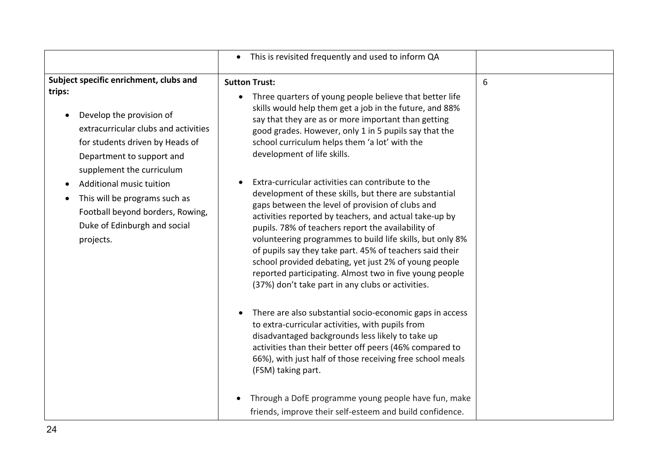|                                                                                                                                                                                                                   | This is revisited frequently and used to inform QA<br>$\bullet$                                                                                                                                                                                                                                                                                                                                                                                                                                                              |   |
|-------------------------------------------------------------------------------------------------------------------------------------------------------------------------------------------------------------------|------------------------------------------------------------------------------------------------------------------------------------------------------------------------------------------------------------------------------------------------------------------------------------------------------------------------------------------------------------------------------------------------------------------------------------------------------------------------------------------------------------------------------|---|
| Subject specific enrichment, clubs and<br>trips:<br>Develop the provision of<br>extracurricular clubs and activities<br>for students driven by Heads of<br>Department to support and<br>supplement the curriculum | <b>Sutton Trust:</b><br>Three quarters of young people believe that better life<br>skills would help them get a job in the future, and 88%<br>say that they are as or more important than getting<br>good grades. However, only 1 in 5 pupils say that the<br>school curriculum helps them 'a lot' with the<br>development of life skills.<br>Extra-curricular activities can contribute to the                                                                                                                              | 6 |
| Additional music tuition<br>This will be programs such as<br>Football beyond borders, Rowing,<br>Duke of Edinburgh and social<br>projects.                                                                        | development of these skills, but there are substantial<br>gaps between the level of provision of clubs and<br>activities reported by teachers, and actual take-up by<br>pupils. 78% of teachers report the availability of<br>volunteering programmes to build life skills, but only 8%<br>of pupils say they take part. 45% of teachers said their<br>school provided debating, yet just 2% of young people<br>reported participating. Almost two in five young people<br>(37%) don't take part in any clubs or activities. |   |
|                                                                                                                                                                                                                   | There are also substantial socio-economic gaps in access<br>to extra-curricular activities, with pupils from<br>disadvantaged backgrounds less likely to take up<br>activities than their better off peers (46% compared to<br>66%), with just half of those receiving free school meals<br>(FSM) taking part.<br>Through a DofE programme young people have fun, make<br>friends, improve their self-esteem and build confidence.                                                                                           |   |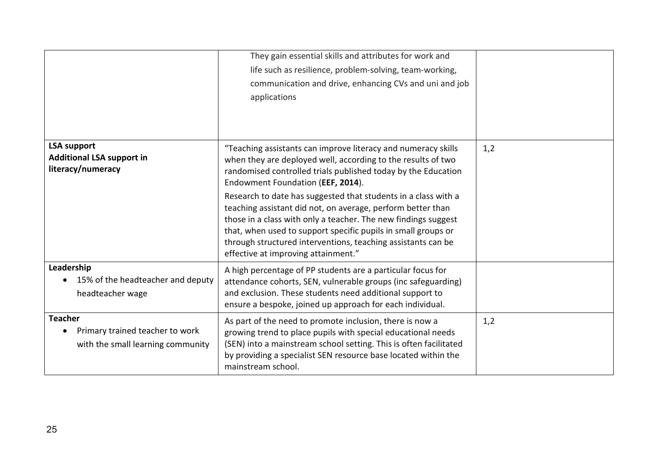|                                                                                        | They gain essential skills and attributes for work and<br>life such as resilience, problem-solving, team-working,<br>communication and drive, enhancing CVs and uni and job<br>applications                                                                                                                                                                             |     |
|----------------------------------------------------------------------------------------|-------------------------------------------------------------------------------------------------------------------------------------------------------------------------------------------------------------------------------------------------------------------------------------------------------------------------------------------------------------------------|-----|
| <b>LSA support</b><br><b>Additional LSA support in</b><br>literacy/numeracy            | "Teaching assistants can improve literacy and numeracy skills<br>when they are deployed well, according to the results of two<br>randomised controlled trials published today by the Education<br>Endowment Foundation (EEF, 2014).                                                                                                                                     | 1,2 |
|                                                                                        | Research to date has suggested that students in a class with a<br>teaching assistant did not, on average, perform better than<br>those in a class with only a teacher. The new findings suggest<br>that, when used to support specific pupils in small groups or<br>through structured interventions, teaching assistants can be<br>effective at improving attainment." |     |
| Leadership<br>15% of the headteacher and deputy<br>headteacher wage                    | A high percentage of PP students are a particular focus for<br>attendance cohorts, SEN, vulnerable groups (inc safeguarding)<br>and exclusion. These students need additional support to<br>ensure a bespoke, joined up approach for each individual.                                                                                                                   |     |
| <b>Teacher</b><br>Primary trained teacher to work<br>with the small learning community | As part of the need to promote inclusion, there is now a<br>growing trend to place pupils with special educational needs<br>(SEN) into a mainstream school setting. This is often facilitated<br>by providing a specialist SEN resource base located within the<br>mainstream school.                                                                                   | 1,2 |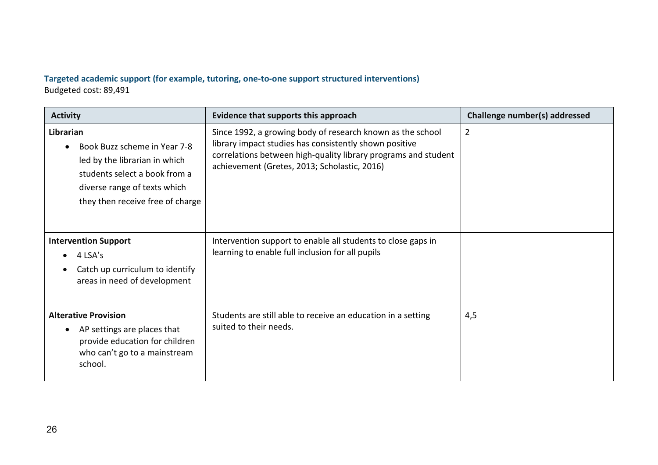# **Targeted academic support (for example, tutoring, one-to-one support structured interventions)**  Budgeted cost: 89,491

| <b>Activity</b>                                                                                                                                                                 | Evidence that supports this approach                                                                                                                                                                                                   | Challenge number(s) addressed |
|---------------------------------------------------------------------------------------------------------------------------------------------------------------------------------|----------------------------------------------------------------------------------------------------------------------------------------------------------------------------------------------------------------------------------------|-------------------------------|
| Librarian<br>Book Buzz scheme in Year 7-8<br>led by the librarian in which<br>students select a book from a<br>diverse range of texts which<br>they then receive free of charge | Since 1992, a growing body of research known as the school<br>library impact studies has consistently shown positive<br>correlations between high-quality library programs and student<br>achievement (Gretes, 2013; Scholastic, 2016) | $\overline{2}$                |
| <b>Intervention Support</b><br>4 LSA's<br>$\bullet$<br>Catch up curriculum to identify<br>areas in need of development                                                          | Intervention support to enable all students to close gaps in<br>learning to enable full inclusion for all pupils                                                                                                                       |                               |
| <b>Alterative Provision</b><br>AP settings are places that<br>$\bullet$<br>provide education for children<br>who can't go to a mainstream<br>school.                            | Students are still able to receive an education in a setting<br>suited to their needs.                                                                                                                                                 | 4,5                           |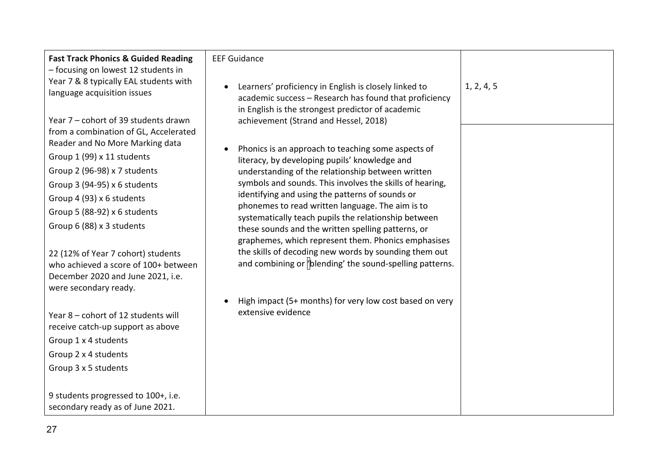| <b>Fast Track Phonics &amp; Guided Reading</b><br>- focusing on lowest 12 students in<br>Year 7 & 8 typically EAL students with<br>language acquisition issues<br>Year 7 – cohort of 39 students drawn<br>from a combination of GL, Accelerated<br>Reader and No More Marking data<br>Group 1 (99) x 11 students<br>Group 2 (96-98) x 7 students | <b>EEF Guidance</b><br>Learners' proficiency in English is closely linked to<br>academic success - Research has found that proficiency<br>in English is the strongest predictor of academic<br>achievement (Strand and Hessel, 2018)<br>Phonics is an approach to teaching some aspects of<br>literacy, by developing pupils' knowledge and<br>understanding of the relationship between written                                                                 | 1, 2, 4, 5 |
|--------------------------------------------------------------------------------------------------------------------------------------------------------------------------------------------------------------------------------------------------------------------------------------------------------------------------------------------------|------------------------------------------------------------------------------------------------------------------------------------------------------------------------------------------------------------------------------------------------------------------------------------------------------------------------------------------------------------------------------------------------------------------------------------------------------------------|------------|
| Group 3 (94-95) x 6 students<br>Group 4 (93) x 6 students<br>Group 5 (88-92) x 6 students<br>Group 6 (88) x 3 students<br>22 (12% of Year 7 cohort) students<br>who achieved a score of 100+ between<br>December 2020 and June 2021, i.e.<br>were secondary ready.                                                                               | symbols and sounds. This involves the skills of hearing,<br>identifying and using the patterns of sounds or<br>phonemes to read written language. The aim is to<br>systematically teach pupils the relationship between<br>these sounds and the written spelling patterns, or<br>graphemes, which represent them. Phonics emphasises<br>the skills of decoding new words by sounding them out<br>and combining or <i>b</i> lending' the sound-spelling patterns. |            |
| Year 8 - cohort of 12 students will<br>receive catch-up support as above<br>Group 1 x 4 students<br>Group 2 x 4 students<br>Group 3 x 5 students<br>9 students progressed to 100+, i.e.<br>secondary ready as of June 2021.                                                                                                                      | High impact (5+ months) for very low cost based on very<br>extensive evidence                                                                                                                                                                                                                                                                                                                                                                                    |            |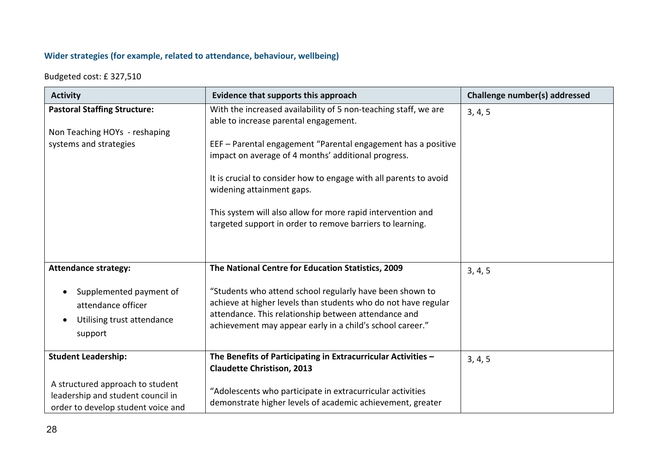# **Wider strategies (for example, related to attendance, behaviour, wellbeing)**

Budgeted cost: £ 327,510

| <b>Activity</b>                                                                                             | Evidence that supports this approach                                                                                                                                                                                                                                                                                               | Challenge number(s) addressed |  |
|-------------------------------------------------------------------------------------------------------------|------------------------------------------------------------------------------------------------------------------------------------------------------------------------------------------------------------------------------------------------------------------------------------------------------------------------------------|-------------------------------|--|
| <b>Pastoral Staffing Structure:</b><br>Non Teaching HOYs - reshaping<br>systems and strategies              | With the increased availability of 5 non-teaching staff, we are<br>able to increase parental engagement.<br>EEF - Parental engagement "Parental engagement has a positive<br>impact on average of 4 months' additional progress.<br>It is crucial to consider how to engage with all parents to avoid<br>widening attainment gaps. | 3, 4, 5                       |  |
|                                                                                                             | This system will also allow for more rapid intervention and<br>targeted support in order to remove barriers to learning.                                                                                                                                                                                                           |                               |  |
| <b>Attendance strategy:</b>                                                                                 | The National Centre for Education Statistics, 2009                                                                                                                                                                                                                                                                                 | 3, 4, 5                       |  |
| Supplemented payment of<br>attendance officer<br>Utilising trust attendance<br>support                      | "Students who attend school regularly have been shown to<br>achieve at higher levels than students who do not have regular<br>attendance. This relationship between attendance and<br>achievement may appear early in a child's school career."                                                                                    |                               |  |
| <b>Student Leadership:</b>                                                                                  | The Benefits of Participating in Extracurricular Activities -<br><b>Claudette Christison, 2013</b>                                                                                                                                                                                                                                 | 3, 4, 5                       |  |
| A structured approach to student<br>leadership and student council in<br>order to develop student voice and | "Adolescents who participate in extracurricular activities<br>demonstrate higher levels of academic achievement, greater                                                                                                                                                                                                           |                               |  |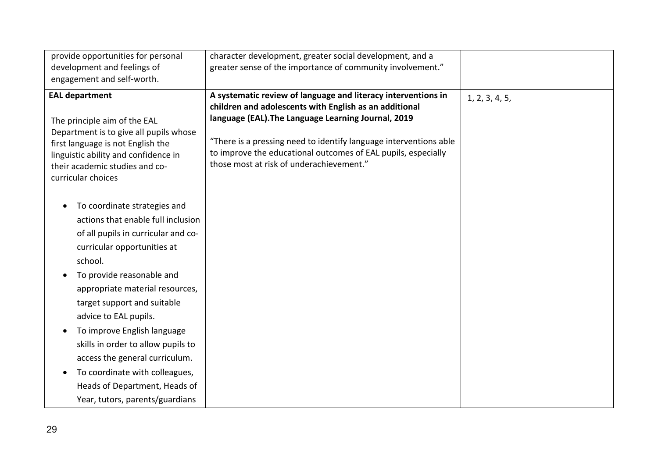| provide opportunities for personal<br>development and feelings of<br>engagement and self-worth.                                                                                                                                                                                                                                                                                                                                                                                          | character development, greater social development, and a<br>greater sense of the importance of community involvement."                                                                                                                                                                                                                                           |                |
|------------------------------------------------------------------------------------------------------------------------------------------------------------------------------------------------------------------------------------------------------------------------------------------------------------------------------------------------------------------------------------------------------------------------------------------------------------------------------------------|------------------------------------------------------------------------------------------------------------------------------------------------------------------------------------------------------------------------------------------------------------------------------------------------------------------------------------------------------------------|----------------|
| <b>EAL department</b><br>The principle aim of the EAL<br>Department is to give all pupils whose<br>first language is not English the<br>linguistic ability and confidence in<br>their academic studies and co-<br>curricular choices                                                                                                                                                                                                                                                     | A systematic review of language and literacy interventions in<br>children and adolescents with English as an additional<br>language (EAL). The Language Learning Journal, 2019<br>"There is a pressing need to identify language interventions able<br>to improve the educational outcomes of EAL pupils, especially<br>those most at risk of underachievement." | 1, 2, 3, 4, 5, |
| To coordinate strategies and<br>actions that enable full inclusion<br>of all pupils in curricular and co-<br>curricular opportunities at<br>school.<br>To provide reasonable and<br>appropriate material resources,<br>target support and suitable<br>advice to EAL pupils.<br>To improve English language<br>skills in order to allow pupils to<br>access the general curriculum.<br>To coordinate with colleagues,<br>Heads of Department, Heads of<br>Year, tutors, parents/guardians |                                                                                                                                                                                                                                                                                                                                                                  |                |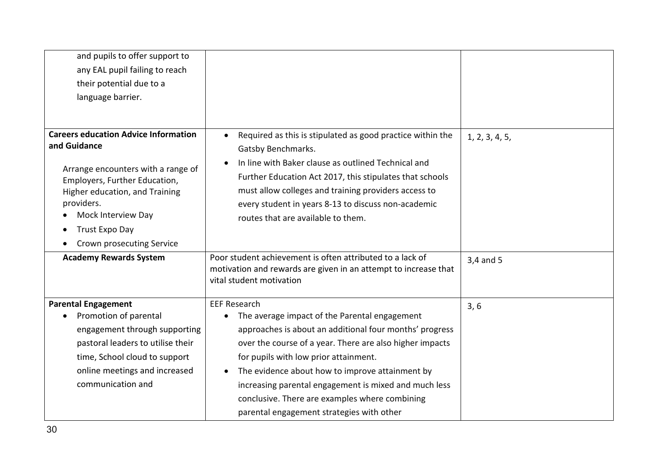| and pupils to offer support to              |                                                                                                                              |                |
|---------------------------------------------|------------------------------------------------------------------------------------------------------------------------------|----------------|
| any EAL pupil failing to reach              |                                                                                                                              |                |
| their potential due to a                    |                                                                                                                              |                |
| language barrier.                           |                                                                                                                              |                |
|                                             |                                                                                                                              |                |
|                                             |                                                                                                                              |                |
| <b>Careers education Advice Information</b> | Required as this is stipulated as good practice within the<br>$\bullet$                                                      | 1, 2, 3, 4, 5, |
| and Guidance                                | Gatsby Benchmarks.                                                                                                           |                |
| Arrange encounters with a range of          | In line with Baker clause as outlined Technical and                                                                          |                |
| Employers, Further Education,               | Further Education Act 2017, this stipulates that schools                                                                     |                |
| Higher education, and Training              | must allow colleges and training providers access to                                                                         |                |
| providers.                                  | every student in years 8-13 to discuss non-academic                                                                          |                |
| Mock Interview Day                          | routes that are available to them.                                                                                           |                |
| Trust Expo Day<br>$\bullet$                 |                                                                                                                              |                |
| Crown prosecuting Service                   |                                                                                                                              |                |
| <b>Academy Rewards System</b>               | Poor student achievement is often attributed to a lack of<br>motivation and rewards are given in an attempt to increase that | 3,4 and 5      |
|                                             | vital student motivation                                                                                                     |                |
|                                             |                                                                                                                              |                |
| <b>Parental Engagement</b>                  | <b>EEF Research</b>                                                                                                          | 3, 6           |
| Promotion of parental                       | The average impact of the Parental engagement                                                                                |                |
| engagement through supporting               | approaches is about an additional four months' progress                                                                      |                |
| pastoral leaders to utilise their           | over the course of a year. There are also higher impacts                                                                     |                |
| time, School cloud to support               | for pupils with low prior attainment.                                                                                        |                |
| online meetings and increased               | The evidence about how to improve attainment by                                                                              |                |
| communication and                           | increasing parental engagement is mixed and much less                                                                        |                |
|                                             | conclusive. There are examples where combining                                                                               |                |
|                                             | parental engagement strategies with other                                                                                    |                |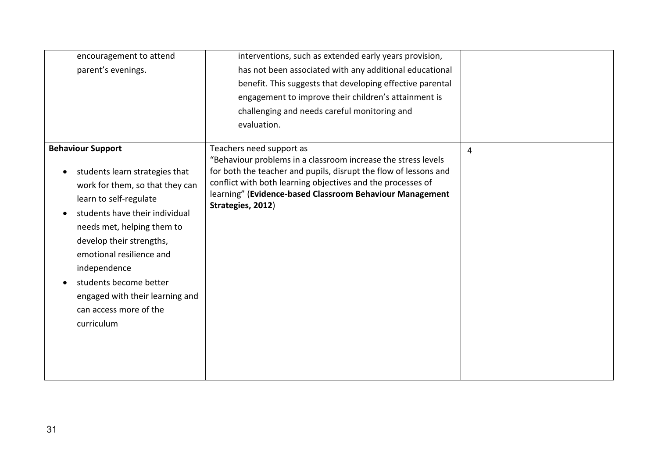| encouragement to attend         | interventions, such as extended early years provision,                                                                            |                |
|---------------------------------|-----------------------------------------------------------------------------------------------------------------------------------|----------------|
| parent's evenings.              | has not been associated with any additional educational                                                                           |                |
|                                 | benefit. This suggests that developing effective parental                                                                         |                |
|                                 | engagement to improve their children's attainment is                                                                              |                |
|                                 | challenging and needs careful monitoring and                                                                                      |                |
|                                 | evaluation.                                                                                                                       |                |
|                                 |                                                                                                                                   |                |
| <b>Behaviour Support</b>        | Teachers need support as                                                                                                          | $\overline{4}$ |
| students learn strategies that  | "Behaviour problems in a classroom increase the stress levels<br>for both the teacher and pupils, disrupt the flow of lessons and |                |
| work for them, so that they can | conflict with both learning objectives and the processes of                                                                       |                |
|                                 | learning" (Evidence-based Classroom Behaviour Management                                                                          |                |
| learn to self-regulate          | Strategies, 2012)                                                                                                                 |                |
| students have their individual  |                                                                                                                                   |                |
| needs met, helping them to      |                                                                                                                                   |                |
| develop their strengths,        |                                                                                                                                   |                |
| emotional resilience and        |                                                                                                                                   |                |
| independence                    |                                                                                                                                   |                |
| students become better          |                                                                                                                                   |                |
| engaged with their learning and |                                                                                                                                   |                |
| can access more of the          |                                                                                                                                   |                |
| curriculum                      |                                                                                                                                   |                |
|                                 |                                                                                                                                   |                |
|                                 |                                                                                                                                   |                |
|                                 |                                                                                                                                   |                |
|                                 |                                                                                                                                   |                |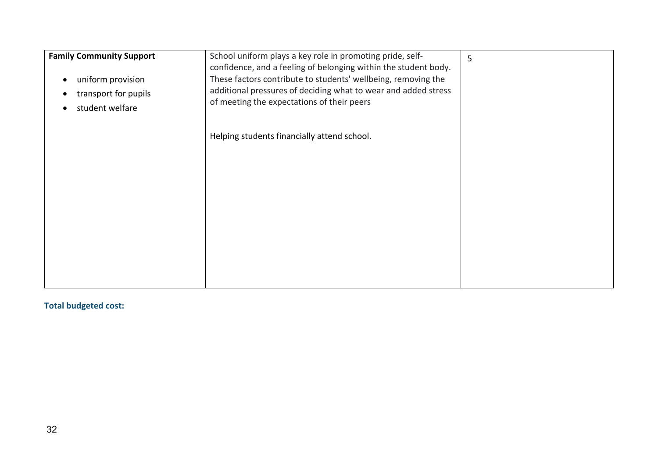| <b>Family Community Support</b><br>uniform provision<br>$\bullet$<br>transport for pupils<br>student welfare<br>$\bullet$ | School uniform plays a key role in promoting pride, self-<br>confidence, and a feeling of belonging within the student body.<br>These factors contribute to students' wellbeing, removing the<br>additional pressures of deciding what to wear and added stress<br>of meeting the expectations of their peers | 5 |
|---------------------------------------------------------------------------------------------------------------------------|---------------------------------------------------------------------------------------------------------------------------------------------------------------------------------------------------------------------------------------------------------------------------------------------------------------|---|
|                                                                                                                           | Helping students financially attend school.                                                                                                                                                                                                                                                                   |   |
|                                                                                                                           |                                                                                                                                                                                                                                                                                                               |   |
|                                                                                                                           |                                                                                                                                                                                                                                                                                                               |   |
|                                                                                                                           |                                                                                                                                                                                                                                                                                                               |   |
|                                                                                                                           |                                                                                                                                                                                                                                                                                                               |   |
|                                                                                                                           |                                                                                                                                                                                                                                                                                                               |   |

**Total budgeted cost:**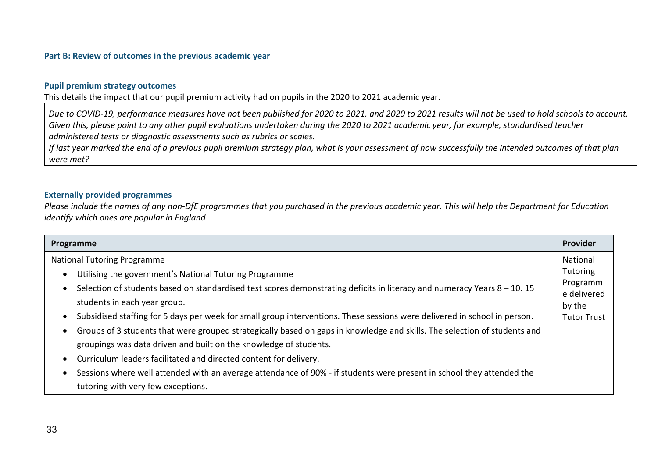#### **Part B: Review of outcomes in the previous academic year**

#### **Pupil premium strategy outcomes**

This details the impact that our pupil premium activity had on pupils in the 2020 to 2021 academic year.

*Due to COVID-19, performance measures have not been published for 2020 to 2021, and 2020 to 2021 results will not be used to hold schools to account. Given this, please point to any other pupil evaluations undertaken during the 2020 to 2021 academic year, for example, standardised teacher administered tests or diagnostic assessments such as rubrics or scales.*

*If last year marked the end of a previous pupil premium strategy plan, what is your assessment of how successfully the intended outcomes of that plan were met?* 

#### **Externally provided programmes**

*Please include the names of any non-DfE programmes that you purchased in the previous academic year. This will help the Department for Education identify which ones are popular in England*

| Programme                                                                                                                   | Provider                |
|-----------------------------------------------------------------------------------------------------------------------------|-------------------------|
| <b>National Tutoring Programme</b>                                                                                          | National                |
| Utilising the government's National Tutoring Programme                                                                      | Tutoring                |
| Selection of students based on standardised test scores demonstrating deficits in literacy and numeracy Years $8 - 10$ . 15 | Programm<br>e delivered |
| students in each year group.                                                                                                | by the                  |
| Subsidised staffing for 5 days per week for small group interventions. These sessions were delivered in school in person.   | <b>Tutor Trust</b>      |
| Groups of 3 students that were grouped strategically based on gaps in knowledge and skills. The selection of students and   |                         |
| groupings was data driven and built on the knowledge of students.                                                           |                         |
| Curriculum leaders facilitated and directed content for delivery.                                                           |                         |
| Sessions where well attended with an average attendance of 90% - if students were present in school they attended the       |                         |
| tutoring with very few exceptions.                                                                                          |                         |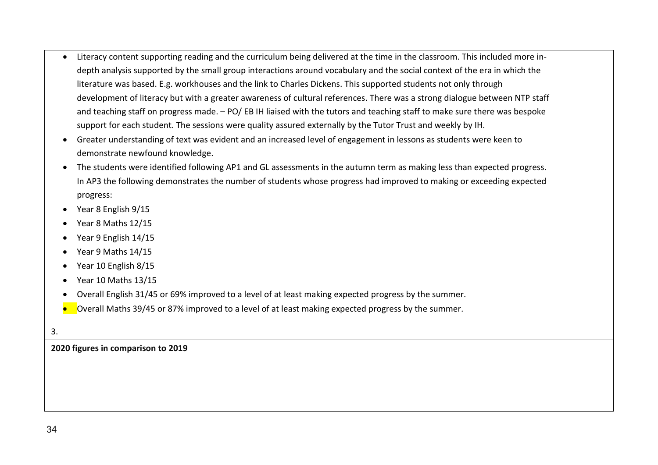- Literacy content supporting reading and the curriculum being delivered at the time in the classroom. This included more indepth analysis supported by the small group interactions around vocabulary and the social context of the era in which the literature was based. E.g. workhouses and the link to Charles Dickens. This supported students not only through development of literacy but with a greater awareness of cultural references. There was a strong dialogue between NTP staff and teaching staff on progress made. – PO/ EB IH liaised with the tutors and teaching staff to make sure there was bespoke support for each student. The sessions were quality assured externally by the Tutor Trust and weekly by IH.
- Greater understanding of text was evident and an increased level of engagement in lessons as students were keen to demonstrate newfound knowledge.
- The students were identified following AP1 and GL assessments in the autumn term as making less than expected progress. In AP3 the following demonstrates the number of students whose progress had improved to making or exceeding expected progress:
- Year 8 English 9/15
- Year 8 Maths 12/15
- Year 9 English 14/15
- Year 9 Maths 14/15
- Year 10 English 8/15
- Year 10 Maths 13/15
- Overall English 31/45 or 69% improved to a level of at least making expected progress by the summer.

 $\blacksquare$  Overall Maths 39/45 or 87% improved to a level of at least making expected progress by the summer.

#### 3.

**2020 figures in comparison to 2019**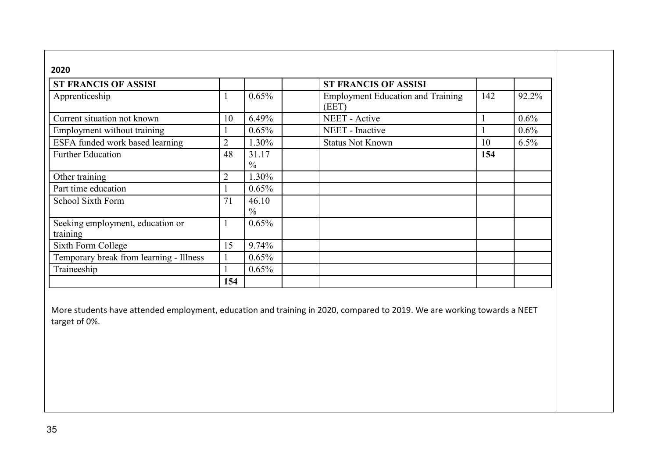| 2020                                         |                |                        |                                                   |     |         |
|----------------------------------------------|----------------|------------------------|---------------------------------------------------|-----|---------|
| <b>ST FRANCIS OF ASSISI</b>                  |                |                        | <b>ST FRANCIS OF ASSISI</b>                       |     |         |
| Apprenticeship                               |                | 0.65%                  | <b>Employment Education and Training</b><br>(EET) | 142 | 92.2%   |
| Current situation not known                  | 10             | 6.49%                  | <b>NEET</b> - Active                              |     | 0.6%    |
| Employment without training                  | - 1            | $0.65\%$               | NEET - Inactive                                   |     | $0.6\%$ |
| ESFA funded work based learning              | $\overline{2}$ | 1.30%                  | <b>Status Not Known</b>                           | 10  | $6.5\%$ |
| <b>Further Education</b>                     | 48             | 31.17<br>$\frac{0}{0}$ |                                                   | 154 |         |
| Other training                               | $\overline{2}$ | 1.30%                  |                                                   |     |         |
| Part time education                          |                | 0.65%                  |                                                   |     |         |
| School Sixth Form                            | 71             | 46.10<br>$\frac{0}{0}$ |                                                   |     |         |
| Seeking employment, education or<br>training | -1             | 0.65%                  |                                                   |     |         |
| Sixth Form College                           | 15             | 9.74%                  |                                                   |     |         |
| Temporary break from learning - Illness      |                | 0.65%                  |                                                   |     |         |
| Traineeship                                  |                | $0.65\%$               |                                                   |     |         |
|                                              | 154            |                        |                                                   |     |         |

More students have attended employment, education and training in 2020, compared to 2019. We are working towards a NEET target of 0%.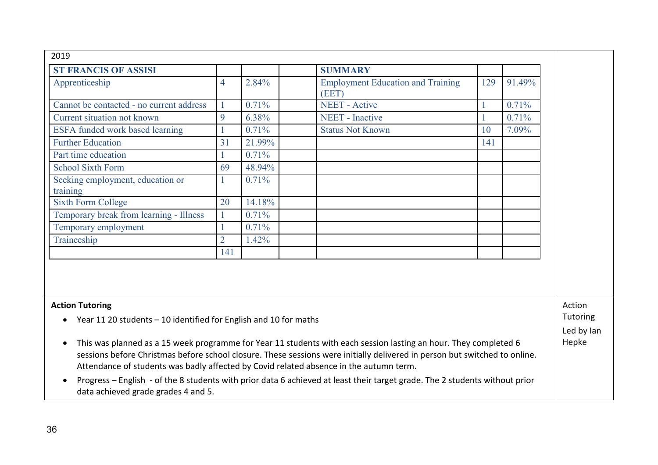| 2019                                                                                                                                                                                                                                                                                                                                                  |                |        |                                                                    |          |  |
|-------------------------------------------------------------------------------------------------------------------------------------------------------------------------------------------------------------------------------------------------------------------------------------------------------------------------------------------------------|----------------|--------|--------------------------------------------------------------------|----------|--|
| <b>ST FRANCIS OF ASSISI</b>                                                                                                                                                                                                                                                                                                                           |                |        | <b>SUMMARY</b>                                                     |          |  |
| Apprenticeship                                                                                                                                                                                                                                                                                                                                        | $\overline{4}$ | 2.84%  | <b>Employment Education and Training</b><br>129<br>91.49%<br>(EET) |          |  |
| Cannot be contacted - no current address                                                                                                                                                                                                                                                                                                              |                | 0.71%  | <b>NEET</b> - Active<br>0.71%                                      |          |  |
| Current situation not known                                                                                                                                                                                                                                                                                                                           | 9              | 6.38%  | <b>NEET</b> - Inactive<br>0.71%                                    |          |  |
| ESFA funded work based learning                                                                                                                                                                                                                                                                                                                       |                | 0.71%  | 7.09%<br><b>Status Not Known</b><br>10                             |          |  |
| <b>Further Education</b>                                                                                                                                                                                                                                                                                                                              | 31             | 21.99% | 141                                                                |          |  |
| Part time education                                                                                                                                                                                                                                                                                                                                   |                | 0.71%  |                                                                    |          |  |
| <b>School Sixth Form</b>                                                                                                                                                                                                                                                                                                                              | 69             | 48.94% |                                                                    |          |  |
| Seeking employment, education or<br>training                                                                                                                                                                                                                                                                                                          | 1              | 0.71%  |                                                                    |          |  |
| <b>Sixth Form College</b>                                                                                                                                                                                                                                                                                                                             | 20             | 14.18% |                                                                    |          |  |
| Temporary break from learning - Illness                                                                                                                                                                                                                                                                                                               | 1              | 0.71%  |                                                                    |          |  |
| Temporary employment                                                                                                                                                                                                                                                                                                                                  |                | 0.71%  |                                                                    |          |  |
| Traineeship                                                                                                                                                                                                                                                                                                                                           | $\overline{2}$ | 1.42%  |                                                                    |          |  |
|                                                                                                                                                                                                                                                                                                                                                       | 141            |        |                                                                    |          |  |
|                                                                                                                                                                                                                                                                                                                                                       |                |        |                                                                    |          |  |
| <b>Action Tutoring</b>                                                                                                                                                                                                                                                                                                                                |                |        |                                                                    | Action   |  |
| Year 11 20 students - 10 identified for English and 10 for maths                                                                                                                                                                                                                                                                                      |                |        |                                                                    | Tutoring |  |
| This was planned as a 15 week programme for Year 11 students with each session lasting an hour. They completed 6<br>$\bullet$<br>sessions before Christmas before school closure. These sessions were initially delivered in person but switched to online.<br>Attendance of students was badly affected by Covid related absence in the autumn term. |                |        |                                                                    |          |  |
| Progress - English - of the 8 students with prior data 6 achieved at least their target grade. The 2 students without prior<br>$\bullet$<br>data achieved grade grades 4 and 5.                                                                                                                                                                       |                |        |                                                                    |          |  |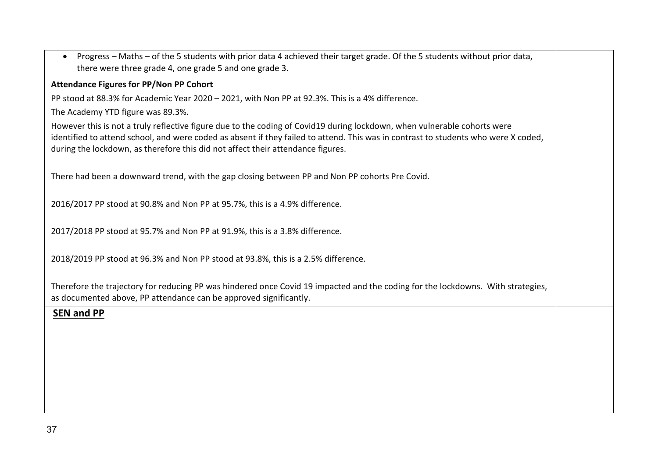| Progress - Maths - of the 5 students with prior data 4 achieved their target grade. Of the 5 students without prior data,<br>there were three grade 4, one grade 5 and one grade 3.                                                                                                                                                               |  |
|---------------------------------------------------------------------------------------------------------------------------------------------------------------------------------------------------------------------------------------------------------------------------------------------------------------------------------------------------|--|
| <b>Attendance Figures for PP/Non PP Cohort</b>                                                                                                                                                                                                                                                                                                    |  |
| PP stood at 88.3% for Academic Year 2020 - 2021, with Non PP at 92.3%. This is a 4% difference.                                                                                                                                                                                                                                                   |  |
| The Academy YTD figure was 89.3%.                                                                                                                                                                                                                                                                                                                 |  |
| However this is not a truly reflective figure due to the coding of Covid19 during lockdown, when vulnerable cohorts were<br>identified to attend school, and were coded as absent if they failed to attend. This was in contrast to students who were X coded,<br>during the lockdown, as therefore this did not affect their attendance figures. |  |
| There had been a downward trend, with the gap closing between PP and Non PP cohorts Pre Covid.                                                                                                                                                                                                                                                    |  |
| 2016/2017 PP stood at 90.8% and Non PP at 95.7%, this is a 4.9% difference.                                                                                                                                                                                                                                                                       |  |
| 2017/2018 PP stood at 95.7% and Non PP at 91.9%, this is a 3.8% difference.                                                                                                                                                                                                                                                                       |  |
| 2018/2019 PP stood at 96.3% and Non PP stood at 93.8%, this is a 2.5% difference.                                                                                                                                                                                                                                                                 |  |
| Therefore the trajectory for reducing PP was hindered once Covid 19 impacted and the coding for the lockdowns. With strategies,<br>as documented above, PP attendance can be approved significantly.                                                                                                                                              |  |
| <b>SEN and PP</b>                                                                                                                                                                                                                                                                                                                                 |  |
|                                                                                                                                                                                                                                                                                                                                                   |  |
|                                                                                                                                                                                                                                                                                                                                                   |  |
|                                                                                                                                                                                                                                                                                                                                                   |  |
|                                                                                                                                                                                                                                                                                                                                                   |  |
|                                                                                                                                                                                                                                                                                                                                                   |  |
|                                                                                                                                                                                                                                                                                                                                                   |  |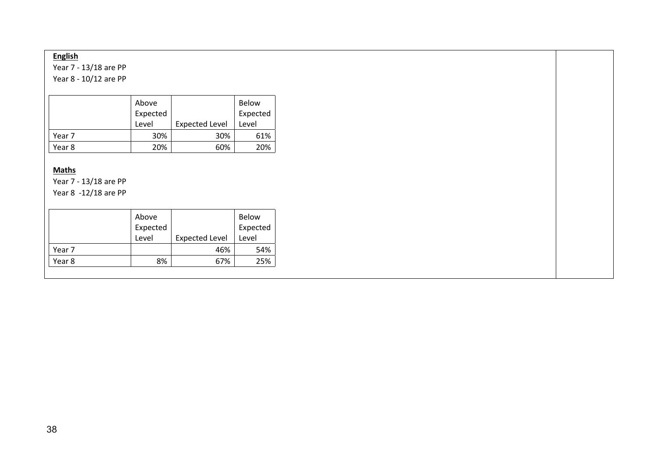# **English**

Year 7 - 13/18 are PP

Year 8 - 10/12 are PP

|        | Above<br>Expected |                       | <b>Below</b><br>Expected |
|--------|-------------------|-----------------------|--------------------------|
|        | Level             | <b>Expected Level</b> | Level                    |
| Year 7 | 30%               | 30%                   | 61%                      |
| Year 8 | 20%               | 60%                   | 20%                      |

### **Maths**

Year 7 - 13/18 are PP Year 8 -12/18 are PP

|        | Above<br>Expected<br>Level | <b>Expected Level</b> | <b>Below</b><br>Expected<br>Level |
|--------|----------------------------|-----------------------|-----------------------------------|
|        |                            |                       |                                   |
| Year 7 |                            | 46%                   | 54%                               |
| Year 8 | 8%                         | 67%                   | 25%                               |
|        |                            |                       |                                   |